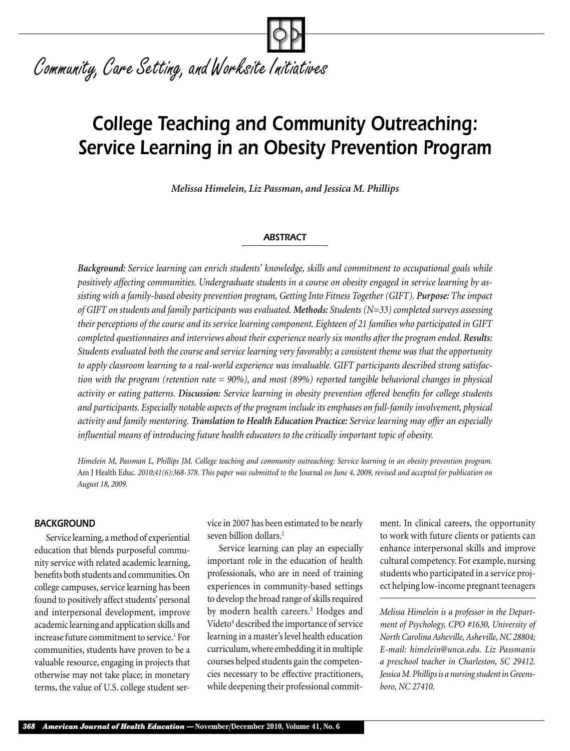# *Community, Care Setting, and Worksite Initiatives*

# *College Teaching and Community Outreaching: Service Learning in an Obesity Prevention Program*

*Melissa Himelein, Liz Passman, and Jessica M. Phillips*

# *ABSTRACT*

*Background: Service learning can enrich students' knowledge, skills and commitment to occupational goals while positively affecting communities. Undergraduate students in a course on obesity engaged in service learning by assisting with a family-based obesity prevention program, Getting Into Fitness Together (GIFT). Purpose: The impact of GIFT on students and family participants was evaluated. Methods: Students (N=33) completed surveys assessing their perceptions of the course and its service learning component. Eighteen of 21 families who participated in GIFT completed questionnaires and interviews about their experience nearly six months after the program ended. Results: Students evaluated both the course and service learning very favorably; a consistent theme was that the opportunity to apply classroom learning to a real-world experience was invaluable. GIFT participants described strong satisfaction with the program (retention rate = 90%), and most (89%) reported tangible behavioral changes in physical activity or eating patterns. Discussion: Service learning in obesity prevention offered benefits for college students and participants. Especially notable aspects of the program include its emphases on full-family involvement, physical activity and family mentoring. Translation to Health Education Practice: Service learning may offer an especially influential means of introducing future health educators to the critically important topic of obesity.* 

*Himelein M, Passman L, Phillips JM. College teaching and community outreaching: Service learning in an obesity prevention program.*  Am J Health Educ. 2010;41(6):368-378. This paper was submitted to the Journal on June 4, 2009, revised and accepted for publication on *August 18, 2009.*

# *BACKGROUND*

Service learning, a method of experiential education that blends purposeful community service with related academic learning, benefits both students and communities. On college campuses, service learning has been found to positively affect students' personal and interpersonal development, improve academic learning and application skills and increase future commitment to service.<sup>1</sup> For communities, students have proven to be a valuable resource, engaging in projects that otherwise may not take place; in monetary terms, the value of U.S. college student service in 2007 has been estimated to be nearly seven billion dollars.<sup>2</sup>

Service learning can play an especially important role in the education of health professionals, who are in need of training experiences in community-based settings to develop the broad range of skills required by modern health careers.3 Hodges and Videto<sup>4</sup> described the importance of service learning in a master's level health education curriculum, where embedding it in multiple courses helped students gain the competencies necessary to be effective practitioners, while deepening their professional commitment. In clinical careers, the opportunity to work with future clients or patients can enhance interpersonal skills and improve cultural competency. For example, nursing students who participated in a service project helping low-income pregnant teenagers

*Melissa Himelein is a professor in the Department of Psychology, CPO #1630, University of North Carolina Asheville, Asheville, NC 28804; E-mail: himelein@unca.edu. Liz Passmanis a preschool teacher in Charleston, SC 29412. Jessica M. Phillips is a nursing student in Greensboro, NC 27410.*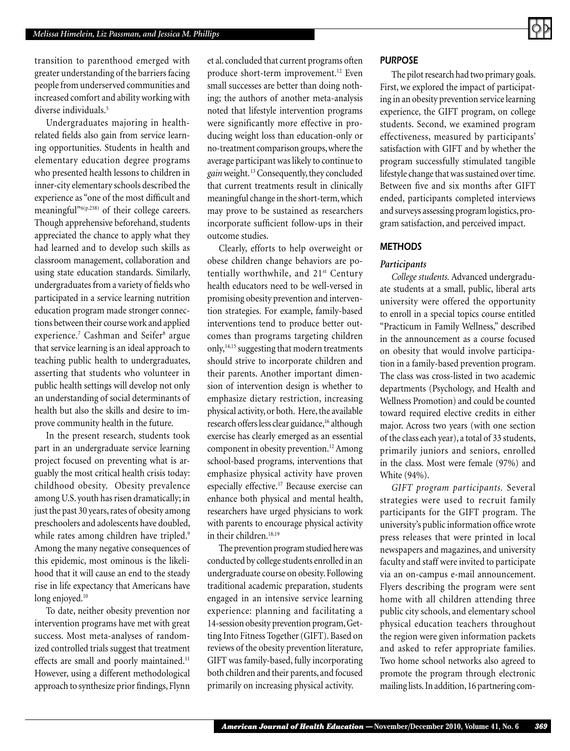

transition to parenthood emerged with greater understanding of the barriers facing people from underserved communities and increased comfort and ability working with diverse individuals.<sup>5</sup>

Undergraduates majoring in healthrelated fields also gain from service learning opportunities. Students in health and elementary education degree programs who presented health lessons to children in inner-city elementary schools described the experience as "one of the most difficult and meaningful"6(p.238) of their college careers. Though apprehensive beforehand, students appreciated the chance to apply what they had learned and to develop such skills as classroom management, collaboration and using state education standards. Similarly, undergraduates from a variety of fields who participated in a service learning nutrition education program made stronger connections between their course work and applied experience.<sup>7</sup> Cashman and Seifer<sup>8</sup> argue that service learning is an ideal approach to teaching public health to undergraduates, asserting that students who volunteer in public health settings will develop not only an understanding of social determinants of health but also the skills and desire to improve community health in the future.

In the present research, students took part in an undergraduate service learning project focused on preventing what is arguably the most critical health crisis today: childhood obesity. Obesity prevalence among U.S. youth has risen dramatically; in just the past 30 years, rates of obesity among preschoolers and adolescents have doubled, while rates among children have tripled.<sup>9</sup> Among the many negative consequences of this epidemic, most ominous is the likelihood that it will cause an end to the steady rise in life expectancy that Americans have long enjoyed.<sup>10</sup>

To date, neither obesity prevention nor intervention programs have met with great success. Most meta-analyses of randomized controlled trials suggest that treatment effects are small and poorly maintained.<sup>11</sup> However, using a different methodological approach to synthesize prior findings, Flynn

et al. concluded that current programs often produce short-term improvement.<sup>12</sup> Even small successes are better than doing nothing; the authors of another meta-analysis noted that lifestyle intervention programs were significantly more effective in producing weight loss than education-only or no-treatment comparison groups, where the average participant was likely to continue to *gain* weight. 13 Consequently, they concluded that current treatments result in clinically meaningful change in the short-term, which may prove to be sustained as researchers incorporate sufficient follow-ups in their outcome studies.

Clearly, efforts to help overweight or obese children change behaviors are potentially worthwhile, and 21<sup>st</sup> Century health educators need to be well-versed in promising obesity prevention and intervention strategies. For example, family-based interventions tend to produce better outcomes than programs targeting children only,<sup>14,15</sup> suggesting that modern treatments should strive to incorporate children and their parents. Another important dimension of intervention design is whether to emphasize dietary restriction, increasing physical activity, or both. Here, the available research offers less clear guidance,<sup>16</sup> although exercise has clearly emerged as an essential component in obesity prevention.<sup>12</sup> Among school-based programs, interventions that emphasize physical activity have proven especially effective.17 Because exercise can enhance both physical and mental health, researchers have urged physicians to work with parents to encourage physical activity in their children.<sup>18,19</sup>

The prevention program studied here was conducted by college students enrolled in an undergraduate course on obesity. Following traditional academic preparation, students engaged in an intensive service learning experience: planning and facilitating a 14-session obesity prevention program, Getting Into Fitness Together (GIFT). Based on reviews of the obesity prevention literature, GIFT was family-based, fully incorporating both children and their parents, and focused primarily on increasing physical activity.

#### *PURPOSE*

The pilot research had two primary goals. First, we explored the impact of participating in an obesity prevention service learning experience, the GIFT program, on college students. Second, we examined program effectiveness, measured by participants' satisfaction with GIFT and by whether the program successfully stimulated tangible lifestyle change that was sustained over time. Between five and six months after GIFT ended, participants completed interviews and surveys assessing program logistics, program satisfaction, and perceived impact.

# *METHODS*

# *Participants*

*College students.* Advanced undergraduate students at a small, public, liberal arts university were offered the opportunity to enroll in a special topics course entitled "Practicum in Family Wellness," described in the announcement as a course focused on obesity that would involve participation in a family-based prevention program. The class was cross-listed in two academic departments (Psychology, and Health and Wellness Promotion) and could be counted toward required elective credits in either major. Across two years (with one section of the class each year), a total of 33 students, primarily juniors and seniors, enrolled in the class. Most were female (97%) and White (94%).

*GIFT program participants.* Several strategies were used to recruit family participants for the GIFT program. The university's public information office wrote press releases that were printed in local newspapers and magazines, and university faculty and staff were invited to participate via an on-campus e-mail announcement. Flyers describing the program were sent home with all children attending three public city schools, and elementary school physical education teachers throughout the region were given information packets and asked to refer appropriate families. Two home school networks also agreed to promote the program through electronic mailing lists. In addition, 16 partnering com-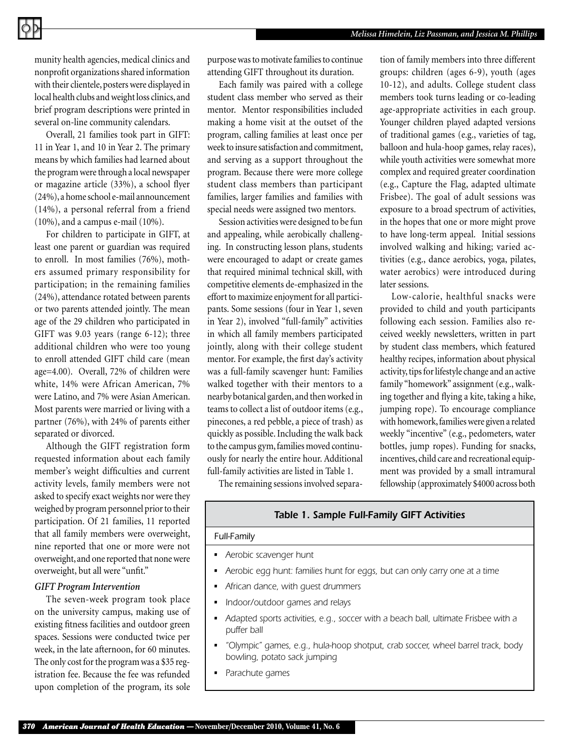

munity health agencies, medical clinics and nonprofit organizations shared information with their clientele, posters were displayed in local health clubs and weight loss clinics, and brief program descriptions were printed in several on-line community calendars.

Overall, 21 families took part in GIFT: 11 in Year 1, and 10 in Year 2. The primary means by which families had learned about the program were through a local newspaper or magazine article (33%), a school flyer (24%), a home school e-mail announcement (14%), a personal referral from a friend (10%), and a campus e-mail (10%).

For children to participate in GIFT, at least one parent or guardian was required to enroll. In most families (76%), mothers assumed primary responsibility for participation; in the remaining families (24%), attendance rotated between parents or two parents attended jointly. The mean age of the 29 children who participated in GIFT was 9.03 years (range 6-12); three additional children who were too young to enroll attended GIFT child care (mean age=4.00). Overall, 72% of children were white, 14% were African American, 7% were Latino, and 7% were Asian American. Most parents were married or living with a partner (76%), with 24% of parents either separated or divorced.

Although the GIFT registration form requested information about each family member's weight difficulties and current activity levels, family members were not asked to specify exact weights nor were they weighed by program personnel prior to their participation. Of 21 families, 11 reported that all family members were overweight, nine reported that one or more were not overweight, and one reported that none were overweight, but all were "unfit."

#### *GIFT Program Intervention*

The seven-week program took place on the university campus, making use of existing fitness facilities and outdoor green spaces. Sessions were conducted twice per week, in the late afternoon, for 60 minutes. The only cost for the program was a \$35 registration fee. Because the fee was refunded upon completion of the program, its sole

purpose was to motivate families to continue attending GIFT throughout its duration.

Each family was paired with a college student class member who served as their mentor. Mentor responsibilities included making a home visit at the outset of the program, calling families at least once per week to insure satisfaction and commitment, and serving as a support throughout the program. Because there were more college student class members than participant families, larger families and families with special needs were assigned two mentors.

Session activities were designed to be fun and appealing, while aerobically challenging. In constructing lesson plans, students were encouraged to adapt or create games that required minimal technical skill, with competitive elements de-emphasized in the effort to maximize enjoyment for all participants. Some sessions (four in Year 1, seven in Year 2), involved "full-family" activities in which all family members participated jointly, along with their college student mentor. For example, the first day's activity was a full-family scavenger hunt: Families walked together with their mentors to a nearby botanical garden, and then worked in teams to collect a list of outdoor items (e.g., pinecones, a red pebble, a piece of trash) as quickly as possible. Including the walk back to the campus gym, families moved continuously for nearly the entire hour. Additional full-family activities are listed in Table 1.

tion of family members into three different groups: children (ages 6-9), youth (ages 10-12), and adults. College student class members took turns leading or co-leading age-appropriate activities in each group. Younger children played adapted versions of traditional games (e.g., varieties of tag, balloon and hula-hoop games, relay races), while youth activities were somewhat more complex and required greater coordination (e.g., Capture the Flag, adapted ultimate Frisbee). The goal of adult sessions was exposure to a broad spectrum of activities, in the hopes that one or more might prove to have long-term appeal. Initial sessions involved walking and hiking; varied activities (e.g., dance aerobics, yoga, pilates, water aerobics) were introduced during later sessions.

Low-calorie, healthful snacks were provided to child and youth participants following each session. Families also received weekly newsletters, written in part by student class members, which featured healthy recipes, information about physical activity, tips for lifestyle change and an active family "homework" assignment (e.g., walking together and flying a kite, taking a hike, jumping rope). To encourage compliance with homework, families were given a related weekly "incentive" (e.g., pedometers, water bottles, jump ropes). Funding for snacks, incentives, child care and recreational equipment was provided by a small intramural fellowship (approximately \$4000 across both

The remaining sessions involved separa-

#### *Table 1. Sample Full-Family GIFT Activities*

#### *Full-Family*

- Aerobic scavenger hunt
- Aerobic egg hunt: families hunt for eggs, but can only carry one at a time
- African dance, with quest drummers
- Indoor/outdoor games and relays
- Adapted sports activities, e.g., soccer with a beach ball, ultimate Frisbee with a *puffer ball*
- • "Olympic" games, e.g., hula-hoop shotput, crab soccer, wheel barrel track, body *bowling, potato sack jumping*
- Parachute games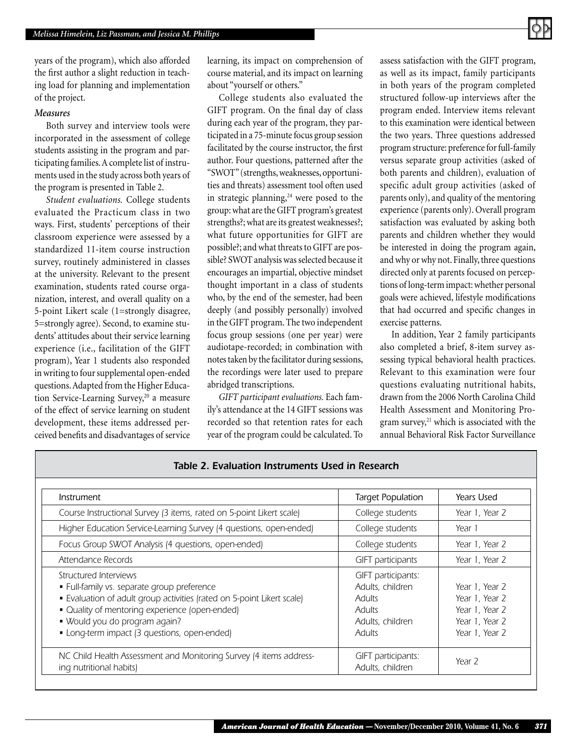

years of the program), which also afforded the first author a slight reduction in teaching load for planning and implementation of the project.

#### *Measures*

Both survey and interview tools were incorporated in the assessment of college students assisting in the program and participating families. A complete list of instruments used in the study across both years of the program is presented in Table 2.

*Student evaluations.* College students evaluated the Practicum class in two ways. First, students' perceptions of their classroom experience were assessed by a standardized 11-item course instruction survey, routinely administered in classes at the university. Relevant to the present examination, students rated course organization, interest, and overall quality on a 5-point Likert scale (1=strongly disagree, 5=strongly agree). Second, to examine students' attitudes about their service learning experience (i.e., facilitation of the GIFT program), Year 1 students also responded in writing to four supplemental open-ended questions. Adapted from the Higher Education Service-Learning Survey,<sup>20</sup> a measure of the effect of service learning on student development, these items addressed perceived benefits and disadvantages of service

learning, its impact on comprehension of course material, and its impact on learning about "yourself or others."

College students also evaluated the GIFT program. On the final day of class during each year of the program, they participated in a 75-minute focus group session facilitated by the course instructor, the first author. Four questions, patterned after the "SWOT" (strengths, weaknesses, opportunities and threats) assessment tool often used in strategic planning, $24$  were posed to the group: what are the GIFT program's greatest strengths?; what are its greatest weaknesses?; what future opportunities for GIFT are possible?; and what threats to GIFT are possible? SWOT analysis was selected because it encourages an impartial, objective mindset thought important in a class of students who, by the end of the semester, had been deeply (and possibly personally) involved in the GIFT program. The two independent focus group sessions (one per year) were audiotape-recorded; in combination with notes taken by the facilitator during sessions, the recordings were later used to prepare abridged transcriptions.

*GIFT participant evaluations.* Each family's attendance at the 14 GIFT sessions was recorded so that retention rates for each year of the program could be calculated. To

assess satisfaction with the GIFT program, as well as its impact, family participants in both years of the program completed structured follow-up interviews after the program ended. Interview items relevant to this examination were identical between the two years. Three questions addressed program structure: preference for full-family versus separate group activities (asked of both parents and children), evaluation of specific adult group activities (asked of parents only), and quality of the mentoring experience (parents only). Overall program satisfaction was evaluated by asking both parents and children whether they would be interested in doing the program again, and why or why not. Finally, three questions directed only at parents focused on perceptions of long-term impact: whether personal goals were achieved, lifestyle modifications that had occurred and specific changes in exercise patterns.

In addition, Year 2 family participants also completed a brief, 8-item survey assessing typical behavioral health practices. Relevant to this examination were four questions evaluating nutritional habits, drawn from the 2006 North Carolina Child Health Assessment and Monitoring Program survey, $21$  which is associated with the annual Behavioral Risk Factor Surveillance

| Table 2. Evaluation Instruments Used in Research                                                                                                                                                                                                                                  |                                                                                                               |                                                                                        |  |
|-----------------------------------------------------------------------------------------------------------------------------------------------------------------------------------------------------------------------------------------------------------------------------------|---------------------------------------------------------------------------------------------------------------|----------------------------------------------------------------------------------------|--|
| Instrument                                                                                                                                                                                                                                                                        | <b>Target Population</b>                                                                                      | Years Used                                                                             |  |
| Course Instructional Survey (3 items, rated on 5-point Likert scale)                                                                                                                                                                                                              | College students                                                                                              | Year 1, Year 2                                                                         |  |
| Higher Education Service-Learning Survey (4 questions, open-ended)                                                                                                                                                                                                                | College students                                                                                              | Year 1                                                                                 |  |
| Focus Group SWOT Analysis (4 questions, open-ended)                                                                                                                                                                                                                               | College students                                                                                              | Year 1, Year 2                                                                         |  |
| Attendance Records                                                                                                                                                                                                                                                                | GIFT participants                                                                                             | Year 1, Year 2                                                                         |  |
| Structured Interviews<br>· Full-family vs. separate group preference<br>• Evaluation of adult group activities (rated on 5-point Likert scale)<br>• Quality of mentoring experience (open-ended)<br>• Would you do program again?<br>• Long-term impact (3 questions, open-ended) | GIFT participants:<br>Adults, children<br><b>Adults</b><br><b>Adults</b><br>Adults, children<br><b>Adults</b> | Year 1, Year 2<br>Year 1, Year 2<br>Year 1, Year 2<br>Year 1, Year 2<br>Year 1, Year 2 |  |
| NC Child Health Assessment and Monitoring Survey (4 items address-<br>ing nutritional habits)                                                                                                                                                                                     | GIFT participants:<br>Adults, children                                                                        | Year 2                                                                                 |  |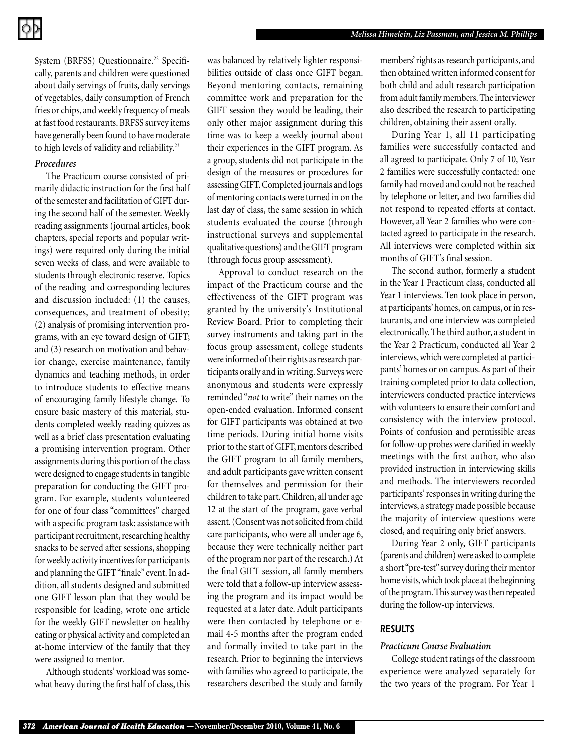System (BRFSS) Questionnaire.<sup>22</sup> Specifically, parents and children were questioned about daily servings of fruits, daily servings of vegetables, daily consumption of French fries or chips, and weekly frequency of meals at fast food restaurants. BRFSS survey items have generally been found to have moderate to high levels of validity and reliability.<sup>23</sup>

# *Procedures*

The Practicum course consisted of primarily didactic instruction for the first half of the semester and facilitation of GIFT during the second half of the semester. Weekly reading assignments (journal articles, book chapters, special reports and popular writings) were required only during the initial seven weeks of class, and were available to students through electronic reserve. Topics of the reading and corresponding lectures and discussion included: (1) the causes, consequences, and treatment of obesity; (2) analysis of promising intervention programs, with an eye toward design of GIFT; and (3) research on motivation and behavior change, exercise maintenance, family dynamics and teaching methods, in order to introduce students to effective means of encouraging family lifestyle change. To ensure basic mastery of this material, students completed weekly reading quizzes as well as a brief class presentation evaluating a promising intervention program. Other assignments during this portion of the class were designed to engage students in tangible preparation for conducting the GIFT program. For example, students volunteered for one of four class "committees" charged with a specific program task: assistance with participant recruitment, researching healthy snacks to be served after sessions, shopping for weekly activity incentives for participants and planning the GIFT "finale" event. In addition, all students designed and submitted one GIFT lesson plan that they would be responsible for leading, wrote one article for the weekly GIFT newsletter on healthy eating or physical activity and completed an at-home interview of the family that they were assigned to mentor.

Although students' workload was somewhat heavy during the first half of class, this was balanced by relatively lighter responsibilities outside of class once GIFT began. Beyond mentoring contacts, remaining committee work and preparation for the GIFT session they would be leading, their only other major assignment during this time was to keep a weekly journal about their experiences in the GIFT program. As a group, students did not participate in the design of the measures or procedures for assessing GIFT. Completed journals and logs of mentoring contacts were turned in on the last day of class, the same session in which students evaluated the course (through instructional surveys and supplemental qualitative questions) and the GIFT program (through focus group assessment).

Approval to conduct research on the impact of the Practicum course and the effectiveness of the GIFT program was granted by the university's Institutional Review Board. Prior to completing their survey instruments and taking part in the focus group assessment, college students were informed of their rights as research participants orally and in writing. Surveys were anonymous and students were expressly reminded "*not* to write" their names on the open-ended evaluation. Informed consent for GIFT participants was obtained at two time periods. During initial home visits prior to the start of GIFT, mentors described the GIFT program to all family members, and adult participants gave written consent for themselves and permission for their children to take part. Children, all under age 12 at the start of the program, gave verbal assent. (Consent was not solicited from child care participants, who were all under age 6, because they were technically neither part of the program nor part of the research.) At the final GIFT session, all family members were told that a follow-up interview assessing the program and its impact would be requested at a later date. Adult participants were then contacted by telephone or email 4-5 months after the program ended and formally invited to take part in the research. Prior to beginning the interviews with families who agreed to participate, the researchers described the study and family members' rights as research participants, and then obtained written informed consent for both child and adult research participation from adult family members. The interviewer also described the research to participating children, obtaining their assent orally.

During Year 1, all 11 participating families were successfully contacted and all agreed to participate. Only 7 of 10, Year 2 families were successfully contacted: one family had moved and could not be reached by telephone or letter, and two families did not respond to repeated efforts at contact. However, all Year 2 families who were contacted agreed to participate in the research. All interviews were completed within six months of GIFT's final session.

The second author, formerly a student in the Year 1 Practicum class, conducted all Year 1 interviews. Ten took place in person, at participants' homes, on campus, or in restaurants, and one interview was completed electronically. The third author, a student in the Year 2 Practicum, conducted all Year 2 interviews, which were completed at participants' homes or on campus. As part of their training completed prior to data collection, interviewers conducted practice interviews with volunteers to ensure their comfort and consistency with the interview protocol. Points of confusion and permissible areas for follow-up probes were clarified in weekly meetings with the first author, who also provided instruction in interviewing skills and methods. The interviewers recorded participants' responses in writing during the interviews, a strategy made possible because the majority of interview questions were closed, and requiring only brief answers.

During Year 2 only, GIFT participants (parents and children) were asked to complete a short "pre-test" survey during their mentor home visits, which took place at the beginning of the program. This survey was then repeated during the follow-up interviews.

# *RESULTS*

# *Practicum Course Evaluation*

College student ratings of the classroom experience were analyzed separately for the two years of the program. For Year 1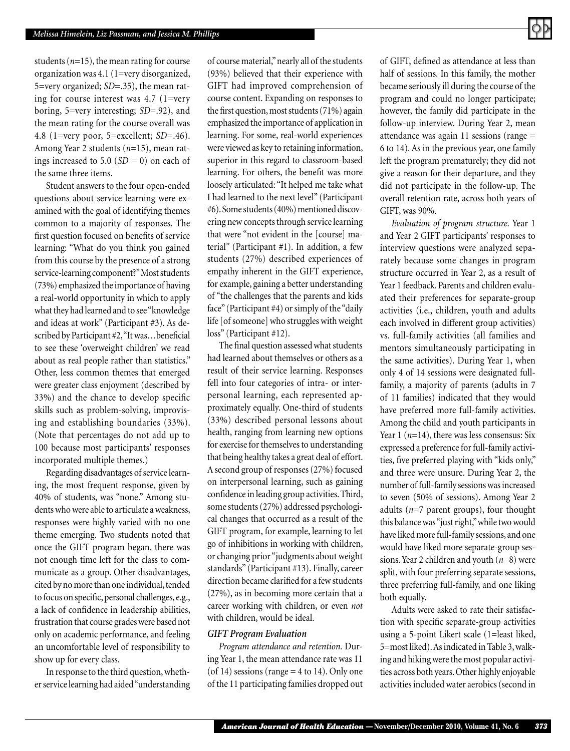

students  $(n=15)$ , the mean rating for course organization was 4.1 (1=very disorganized, 5=very organized; *SD*=.35), the mean rating for course interest was 4.7 (1=very boring, 5=very interesting; *SD*=.92), and the mean rating for the course overall was 4.8 (1=very poor, 5=excellent; *SD*=.46). Among Year 2 students (*n*=15), mean ratings increased to 5.0 (*SD* = 0) on each of the same three items.

Student answers to the four open-ended questions about service learning were examined with the goal of identifying themes common to a majority of responses. The first question focused on benefits of service learning: "What do you think you gained from this course by the presence of a strong service-learning component?" Most students (73%) emphasized the importance of having a real-world opportunity in which to apply what they had learned and to see "knowledge and ideas at work" (Participant #3). As described by Participant #2, "It was…beneficial to see these 'overweight children' we read about as real people rather than statistics." Other, less common themes that emerged were greater class enjoyment (described by 33%) and the chance to develop specific skills such as problem-solving, improvising and establishing boundaries (33%). (Note that percentages do not add up to 100 because most participants' responses incorporated multiple themes.)

Regarding disadvantages of service learning, the most frequent response, given by 40% of students, was "none." Among students who were able to articulate a weakness, responses were highly varied with no one theme emerging. Two students noted that once the GIFT program began, there was not enough time left for the class to communicate as a group. Other disadvantages, cited by no more than one individual, tended to focus on specific, personal challenges, e.g., a lack of confidence in leadership abilities, frustration that course grades were based not only on academic performance, and feeling an uncomfortable level of responsibility to show up for every class.

In response to the third question, whether service learning had aided "understanding of course material," nearly all of the students (93%) believed that their experience with GIFT had improved comprehension of course content. Expanding on responses to the first question, most students (71%) again emphasized the importance of application in learning. For some, real-world experiences were viewed as key to retaining information, superior in this regard to classroom-based learning. For others, the benefit was more loosely articulated: "It helped me take what I had learned to the next level" (Participant #6). Some students (40%) mentioned discovering new concepts through service learning that were "not evident in the [course] material" (Participant #1). In addition, a few students (27%) described experiences of empathy inherent in the GIFT experience, for example, gaining a better understanding of "the challenges that the parents and kids face" (Participant #4) or simply of the "daily life [of someone] who struggles with weight loss" (Participant #12).

The final question assessed what students had learned about themselves or others as a result of their service learning. Responses fell into four categories of intra- or interpersonal learning, each represented approximately equally. One-third of students (33%) described personal lessons about health, ranging from learning new options for exercise for themselves to understanding that being healthy takes a great deal of effort. A second group of responses (27%) focused on interpersonal learning, such as gaining confidence in leading group activities. Third, some students (27%) addressed psychological changes that occurred as a result of the GIFT program, for example, learning to let go of inhibitions in working with children, or changing prior "judgments about weight standards" (Participant #13). Finally, career direction became clarified for a few students (27%), as in becoming more certain that a career working with children, or even *not* with children, would be ideal.

#### *GIFT Program Evaluation*

*Program attendance and retention.* During Year 1, the mean attendance rate was 11 (of 14) sessions (range  $=$  4 to 14). Only one of the 11 participating families dropped out of GIFT, defined as attendance at less than half of sessions. In this family, the mother became seriously ill during the course of the program and could no longer participate; however, the family did participate in the follow-up interview. During Year 2, mean attendance was again 11 sessions (range = 6 to 14). As in the previous year, one family left the program prematurely; they did not give a reason for their departure, and they did not participate in the follow-up. The overall retention rate, across both years of GIFT, was 90%.

*Evaluation of program structure.* Year 1 and Year 2 GIFT participants' responses to interview questions were analyzed separately because some changes in program structure occurred in Year 2, as a result of Year 1 feedback. Parents and children evaluated their preferences for separate-group activities (i.e., children, youth and adults each involved in different group activities) vs. full-family activities (all families and mentors simultaneously participating in the same activities). During Year 1, when only 4 of 14 sessions were designated fullfamily, a majority of parents (adults in 7 of 11 families) indicated that they would have preferred more full-family activities. Among the child and youth participants in Year 1 (*n*=14), there was less consensus: Six expressed a preference for full-family activities, five preferred playing with "kids only," and three were unsure. During Year 2, the number of full-family sessions was increased to seven (50% of sessions). Among Year 2 adults (*n*=7 parent groups), four thought this balance was "just right," while two would have liked more full-family sessions, and one would have liked more separate-group sessions. Year 2 children and youth (*n*=8) were split, with four preferring separate sessions, three preferring full-family, and one liking both equally.

Adults were asked to rate their satisfaction with specific separate-group activities using a 5-point Likert scale (1=least liked, 5=most liked). As indicated in Table 3, walking and hiking were the most popular activities across both years. Other highly enjoyable activities included water aerobics (second in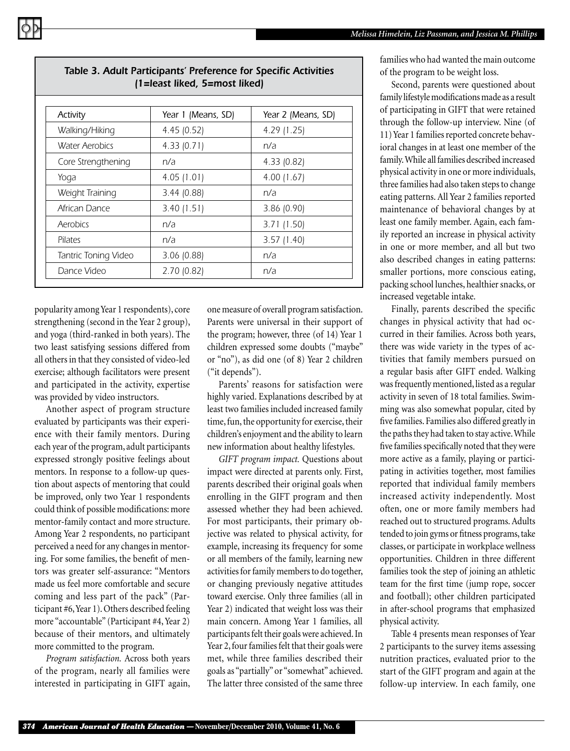| Activity              | Year 1 (Means, SD) | Year 2 (Means, SD) |  |
|-----------------------|--------------------|--------------------|--|
| Walking/Hiking        | 4.45(0.52)         | 4.29(1.25)         |  |
| <b>Water Aerobics</b> | 4.33(0.71)         | n/a                |  |
| Core Strengthening    | n/a                | 4.33(0.82)         |  |
| Yoga                  | 4.05(1.01)         | 4.00(1.67)         |  |
| Weight Training       | 3.44(0.88)         | n/a                |  |
| African Dance         | 3.40(1.51)         | 3.86(0.90)         |  |
| Aerobics              | n/a                | 3.71(1.50)         |  |
| Pilates               | n/a                | 3.57(1.40)         |  |
| Tantric Toning Video  | 3.06(0.88)         | n/a                |  |
| Dance Video           | 2.70(0.82)         | n/a                |  |

# *Table 3. Adult Participants' Preference for Specific Activities (1=least liked, 5=most liked)*

popularity among Year 1 respondents), core strengthening (second in the Year 2 group), and yoga (third-ranked in both years). The two least satisfying sessions differed from all others in that they consisted of video-led exercise; although facilitators were present and participated in the activity, expertise was provided by video instructors.

Another aspect of program structure evaluated by participants was their experience with their family mentors. During each year of the program, adult participants expressed strongly positive feelings about mentors. In response to a follow-up question about aspects of mentoring that could be improved, only two Year 1 respondents could think of possible modifications: more mentor-family contact and more structure. Among Year 2 respondents, no participant perceived a need for any changes in mentoring. For some families, the benefit of mentors was greater self-assurance: "Mentors made us feel more comfortable and secure coming and less part of the pack" (Participant #6, Year 1). Others described feeling more "accountable" (Participant #4, Year 2) because of their mentors, and ultimately more committed to the program.

*Program satisfaction.* Across both years of the program, nearly all families were interested in participating in GIFT again,

one measure of overall program satisfaction. Parents were universal in their support of the program; however, three (of 14) Year 1 children expressed some doubts ("maybe" or "no"), as did one (of 8) Year 2 children ("it depends").

Parents' reasons for satisfaction were highly varied. Explanations described by at least two families included increased family time, fun, the opportunity for exercise, their children's enjoyment and the ability to learn new information about healthy lifestyles.

*GIFT program impact.* Questions about impact were directed at parents only. First, parents described their original goals when enrolling in the GIFT program and then assessed whether they had been achieved. For most participants, their primary objective was related to physical activity, for example, increasing its frequency for some or all members of the family, learning new activities for family members to do together, or changing previously negative attitudes toward exercise. Only three families (all in Year 2) indicated that weight loss was their main concern. Among Year 1 families, all participants felt their goals were achieved. In Year 2, four families felt that their goals were met, while three families described their goals as "partially" or "somewhat" achieved. The latter three consisted of the same three

families who had wanted the main outcome of the program to be weight loss.

Second, parents were questioned about family lifestyle modifications made as a result of participating in GIFT that were retained through the follow-up interview. Nine (of 11) Year 1 families reported concrete behavioral changes in at least one member of the family. While all families described increased physical activity in one or more individuals, three families had also taken steps to change eating patterns. All Year 2 families reported maintenance of behavioral changes by at least one family member. Again, each family reported an increase in physical activity in one or more member, and all but two also described changes in eating patterns: smaller portions, more conscious eating, packing school lunches, healthier snacks, or increased vegetable intake.

Finally, parents described the specific changes in physical activity that had occurred in their families. Across both years, there was wide variety in the types of activities that family members pursued on a regular basis after GIFT ended. Walking was frequently mentioned, listed as a regular activity in seven of 18 total families. Swimming was also somewhat popular, cited by five families. Families also differed greatly in the paths they had taken to stay active. While five families specifically noted that they were more active as a family, playing or participating in activities together, most families reported that individual family members increased activity independently. Most often, one or more family members had reached out to structured programs. Adults tended to join gyms or fitness programs, take classes, or participate in workplace wellness opportunities. Children in three different families took the step of joining an athletic team for the first time (jump rope, soccer and football); other children participated in after-school programs that emphasized physical activity.

Table 4 presents mean responses of Year 2 participants to the survey items assessing nutrition practices, evaluated prior to the start of the GIFT program and again at the follow-up interview. In each family, one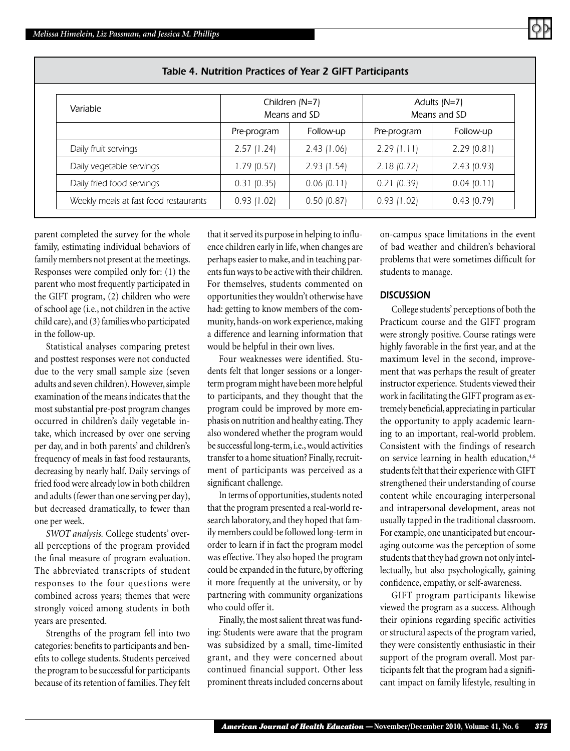

| Variable                              | Children (N=7)<br>Means and SD |            | Adults (N=7)<br>Means and SD |            |
|---------------------------------------|--------------------------------|------------|------------------------------|------------|
|                                       | Pre-program                    | Follow-up  | Pre-program                  | Follow-up  |
| Daily fruit servings                  | 2.57(1.24)                     | 2.43(1.06) | 2.29(1.11)                   | 2.29(0.81) |
| Daily vegetable servings              | 1.79(0.57)                     | 2.93(1.54) | 2.18(0.72)                   | 2.43(0.93) |
| Daily fried food servings             | 0.31(0.35)                     | 0.06(0.11) | $0.21$ (0.39)                | 0.04(0.11) |
| Weekly meals at fast food restaurants | 0.93(1.02)                     | 0.50(0.87) | 0.93(1.02)                   | 0.43(0.79) |

# *Table 4. Nutrition Practices of Year 2 GIFT Participants*

parent completed the survey for the whole family, estimating individual behaviors of family members not present at the meetings. Responses were compiled only for: (1) the parent who most frequently participated in the GIFT program, (2) children who were of school age (i.e., not children in the active child care), and (3) families who participated in the follow-up.

Statistical analyses comparing pretest and posttest responses were not conducted due to the very small sample size (seven adults and seven children). However, simple examination of the means indicates that the most substantial pre-post program changes occurred in children's daily vegetable intake, which increased by over one serving per day, and in both parents' and children's frequency of meals in fast food restaurants, decreasing by nearly half. Daily servings of fried food were already low in both children and adults (fewer than one serving per day), but decreased dramatically, to fewer than one per week.

*SWOT analysis.* College students' overall perceptions of the program provided the final measure of program evaluation. The abbreviated transcripts of student responses to the four questions were combined across years; themes that were strongly voiced among students in both years are presented.

Strengths of the program fell into two categories: benefits to participants and benefits to college students. Students perceived the program to be successful for participants because of its retention of families. They felt that it served its purpose in helping to influence children early in life, when changes are perhaps easier to make, and in teaching parents fun ways to be active with their children. For themselves, students commented on opportunities they wouldn't otherwise have had: getting to know members of the community, hands-on work experience, making a difference and learning information that would be helpful in their own lives.

Four weaknesses were identified. Students felt that longer sessions or a longerterm program might have been more helpful to participants, and they thought that the program could be improved by more emphasis on nutrition and healthy eating. They also wondered whether the program would be successful long-term, i.e., would activities transfer to a home situation? Finally, recruitment of participants was perceived as a significant challenge.

In terms of opportunities, students noted that the program presented a real-world research laboratory, and they hoped that family members could be followed long-term in order to learn if in fact the program model was effective. They also hoped the program could be expanded in the future, by offering it more frequently at the university, or by partnering with community organizations who could offer it.

Finally, the most salient threat was funding: Students were aware that the program was subsidized by a small, time-limited grant, and they were concerned about continued financial support. Other less prominent threats included concerns about on-campus space limitations in the event of bad weather and children's behavioral problems that were sometimes difficult for students to manage.

# *DISCUSSION*

College students' perceptions of both the Practicum course and the GIFT program were strongly positive. Course ratings were highly favorable in the first year, and at the maximum level in the second, improvement that was perhaps the result of greater instructor experience. Students viewed their work in facilitating the GIFT program as extremely beneficial, appreciating in particular the opportunity to apply academic learning to an important, real-world problem. Consistent with the findings of research on service learning in health education,<sup>4,6</sup> students felt that their experience with GIFT strengthened their understanding of course content while encouraging interpersonal and intrapersonal development, areas not usually tapped in the traditional classroom. For example, one unanticipated but encouraging outcome was the perception of some students that they had grown not only intellectually, but also psychologically, gaining confidence, empathy, or self-awareness.

GIFT program participants likewise viewed the program as a success. Although their opinions regarding specific activities or structural aspects of the program varied, they were consistently enthusiastic in their support of the program overall. Most participants felt that the program had a significant impact on family lifestyle, resulting in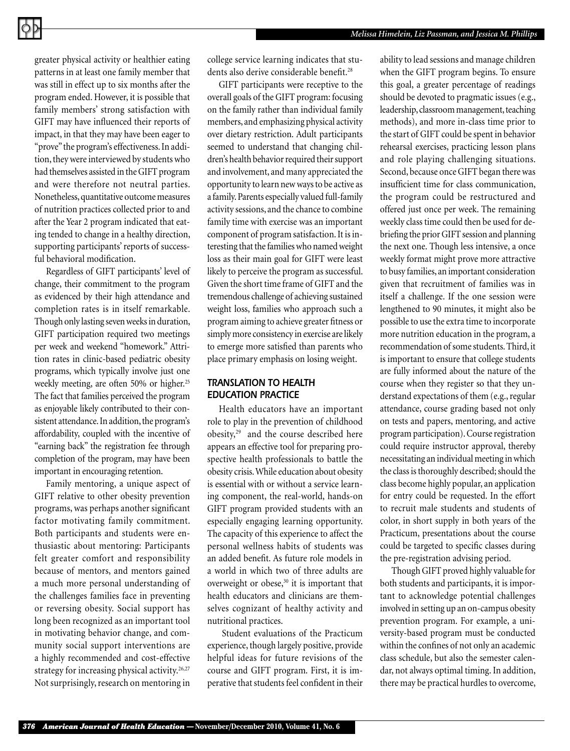greater physical activity or healthier eating patterns in at least one family member that was still in effect up to six months after the program ended. However, it is possible that family members' strong satisfaction with GIFT may have influenced their reports of impact, in that they may have been eager to "prove" the program's effectiveness. In addition, they were interviewed by students who had themselves assisted in the GIFT program and were therefore not neutral parties. Nonetheless, quantitative outcome measures of nutrition practices collected prior to and after the Year 2 program indicated that eating tended to change in a healthy direction, supporting participants' reports of successful behavioral modification.

Regardless of GIFT participants' level of change, their commitment to the program as evidenced by their high attendance and completion rates is in itself remarkable. Though only lasting seven weeks in duration, GIFT participation required two meetings per week and weekend "homework." Attrition rates in clinic-based pediatric obesity programs, which typically involve just one weekly meeting, are often 50% or higher.<sup>25</sup> The fact that families perceived the program as enjoyable likely contributed to their consistent attendance. In addition, the program's affordability, coupled with the incentive of "earning back" the registration fee through completion of the program, may have been important in encouraging retention.

Family mentoring, a unique aspect of GIFT relative to other obesity prevention programs, was perhaps another significant factor motivating family commitment. Both participants and students were enthusiastic about mentoring: Participants felt greater comfort and responsibility because of mentors, and mentors gained a much more personal understanding of the challenges families face in preventing or reversing obesity. Social support has long been recognized as an important tool in motivating behavior change, and community social support interventions are a highly recommended and cost-effective strategy for increasing physical activity.<sup>26,27</sup> Not surprisingly, research on mentoring in

college service learning indicates that students also derive considerable benefit.<sup>28</sup>

GIFT participants were receptive to the overall goals of the GIFT program: focusing on the family rather than individual family members, and emphasizing physical activity over dietary restriction. Adult participants seemed to understand that changing children's health behavior required their support and involvement, and many appreciated the opportunity to learn new ways to be active as a family. Parents especially valued full-family activity sessions, and the chance to combine family time with exercise was an important component of program satisfaction. It is interesting that the families who named weight loss as their main goal for GIFT were least likely to perceive the program as successful. Given the short time frame of GIFT and the tremendous challenge of achieving sustained weight loss, families who approach such a program aiming to achieve greater fitness or simply more consistency in exercise are likely to emerge more satisfied than parents who place primary emphasis on losing weight.

# *TRANSLATION TO HEALTH EDUCATION PRACTICE*

Health educators have an important role to play in the prevention of childhood obesity,<sup>29</sup> and the course described here appears an effective tool for preparing prospective health professionals to battle the obesity crisis. While education about obesity is essential with or without a service learning component, the real-world, hands-on GIFT program provided students with an especially engaging learning opportunity. The capacity of this experience to affect the personal wellness habits of students was an added benefit. As future role models in a world in which two of three adults are overweight or obese,<sup>30</sup> it is important that health educators and clinicians are themselves cognizant of healthy activity and nutritional practices.

 Student evaluations of the Practicum experience, though largely positive, provide helpful ideas for future revisions of the course and GIFT program. First, it is imperative that students feel confident in their ability to lead sessions and manage children when the GIFT program begins. To ensure this goal, a greater percentage of readings should be devoted to pragmatic issues (e.g., leadership, classroom management, teaching methods), and more in-class time prior to the start of GIFT could be spent in behavior rehearsal exercises, practicing lesson plans and role playing challenging situations. Second, because once GIFT began there was insufficient time for class communication, the program could be restructured and offered just once per week. The remaining weekly class time could then be used for debriefing the prior GIFT session and planning the next one. Though less intensive, a once weekly format might prove more attractive to busy families, an important consideration given that recruitment of families was in itself a challenge. If the one session were lengthened to 90 minutes, it might also be possible to use the extra time to incorporate more nutrition education in the program, a recommendation of some students. Third, it is important to ensure that college students are fully informed about the nature of the course when they register so that they understand expectations of them (e.g., regular attendance, course grading based not only on tests and papers, mentoring, and active program participation). Course registration could require instructor approval, thereby necessitating an individual meeting in which the class is thoroughly described; should the class become highly popular, an application for entry could be requested. In the effort to recruit male students and students of color, in short supply in both years of the Practicum, presentations about the course could be targeted to specific classes during the pre-registration advising period.

Though GIFT proved highly valuable for both students and participants, it is important to acknowledge potential challenges involved in setting up an on-campus obesity prevention program. For example, a university-based program must be conducted within the confines of not only an academic class schedule, but also the semester calendar, not always optimal timing. In addition, there may be practical hurdles to overcome,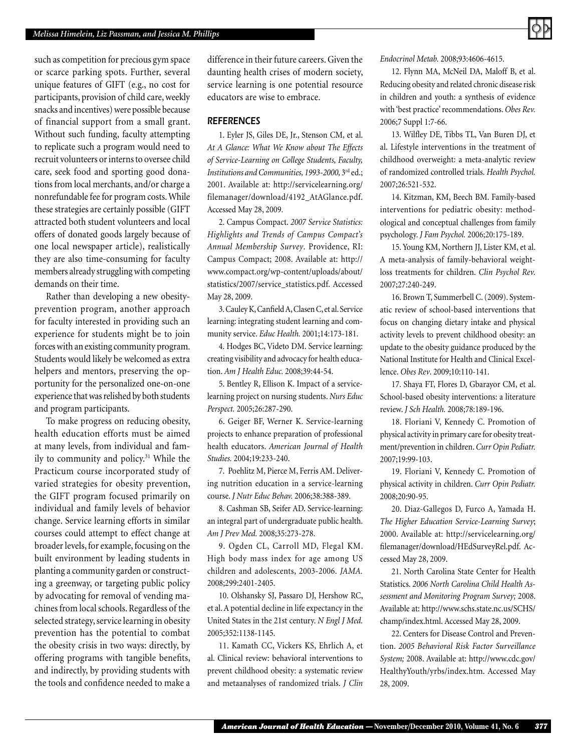such as competition for precious gym space or scarce parking spots. Further, several unique features of GIFT (e.g., no cost for participants, provision of child care, weekly snacks and incentives) were possible because of financial support from a small grant. Without such funding, faculty attempting to replicate such a program would need to recruit volunteers or interns to oversee child care, seek food and sporting good donations from local merchants, and/or charge a nonrefundable fee for program costs. While these strategies are certainly possible (GIFT attracted both student volunteers and local offers of donated goods largely because of one local newspaper article), realistically they are also time-consuming for faculty members already struggling with competing demands on their time.

Rather than developing a new obesityprevention program, another approach for faculty interested in providing such an experience for students might be to join forces with an existing community program. Students would likely be welcomed as extra helpers and mentors, preserving the opportunity for the personalized one-on-one experience that was relished by both students and program participants.

To make progress on reducing obesity, health education efforts must be aimed at many levels, from individual and family to community and policy.<sup>31</sup> While the Practicum course incorporated study of varied strategies for obesity prevention, the GIFT program focused primarily on individual and family levels of behavior change. Service learning efforts in similar courses could attempt to effect change at broader levels, for example, focusing on the built environment by leading students in planting a community garden or constructing a greenway, or targeting public policy by advocating for removal of vending machines from local schools. Regardless of the selected strategy, service learning in obesity prevention has the potential to combat the obesity crisis in two ways: directly, by offering programs with tangible benefits, and indirectly, by providing students with the tools and confidence needed to make a

difference in their future careers. Given the daunting health crises of modern society, service learning is one potential resource educators are wise to embrace.

# *REFERENCES*

1. Eyler JS, Giles DE, Jr., Stenson CM, et al. *At A Glance: What We Know about The Effects of Service-Learning on College Students, Faculty, Institutions and Communities, 1993-2000,* 3rd ed.; 2001. Available at: http://servicelearning.org/ filemanager/download/4192\_AtAGlance.pdf. Accessed May 28, 2009.

2. Campus Compact. *2007 Service Statistics: Highlights and Trends of Campus Compact's Annual Membership Survey*. Providence, RI: Campus Compact; 2008. Available at: http:// www.compact.org/wp-content/uploads/about/ statistics/2007/service\_statistics.pdf. Accessed May 28, 2009.

3. Cauley K, Canfield A, Clasen C, et al. Service learning: integrating student learning and community service. *Educ Health.* 2001;14:173-181.

4. Hodges BC, Videto DM. Service learning: creating visibility and advocacy for health education. *Am J Health Educ.* 2008;39:44-54.

5. Bentley R, Ellison K. Impact of a servicelearning project on nursing students. *Nurs Educ Perspect.* 2005;26:287-290.

6. Geiger BF, Werner K. Service-learning projects to enhance preparation of professional health educators. *American Journal of Health Studies.* 2004;19:233-240.

7. Poehlitz M, Pierce M, Ferris AM. Delivering nutrition education in a service-learning course. *J Nutr Educ Behav.* 2006;38:388-389.

8. Cashman SB, Seifer AD. Service-learning: an integral part of undergraduate public health. *Am J Prev Med.* 2008;35:273-278.

9. Ogden CL, Carroll MD, Flegal KM. High body mass index for age among US children and adolescents, 2003-2006. *JAMA.* 2008;299:2401-2405.

10. Olshansky SJ, Passaro DJ, Hershow RC, et al. A potential decline in life expectancy in the United States in the 21st century. *N Engl J Med.*  2005;352:1138-1145.

11. Kamath CC, Vickers KS, Ehrlich A, et al. Clinical review: behavioral interventions to prevent childhood obesity: a systematic review and metaanalyses of randomized trials. *J Clin*  *Endocrinol Metab.* 2008;93:4606-4615.

12. Flynn MA, McNeil DA, Maloff B, et al. Reducing obesity and related chronic disease risk in children and youth: a synthesis of evidence with 'best practice' recommendations. *Obes Rev.*  2006;7 Suppl 1:7-66.

13. Wilfley DE, Tibbs TL, Van Buren DJ, et al. Lifestyle interventions in the treatment of childhood overweight: a meta-analytic review of randomized controlled trials. *Health Psychol.*  2007;26:521-532.

14. Kitzman, KM, Beech BM. Family-based interventions for pediatric obesity: methodological and conceptual challenges from family psychology. *J Fam Psychol.* 2006;20:175-189.

15. Young KM, Northern JJ, Lister KM, et al. A meta-analysis of family-behavioral weightloss treatments for children. *Clin Psychol Rev.*  2007;27:240-249.

16. Brown T, Summerbell C. (2009). Systematic review of school-based interventions that focus on changing dietary intake and physical activity levels to prevent childhood obesity: an update to the obesity guidance produced by the National Institute for Health and Clinical Excellence. *Obes Rev*. 2009;10:110-141.

17. Shaya FT, Flores D, Gbarayor CM, et al. School-based obesity interventions: a literature review. *J Sch Health.* 2008;78:189-196.

18. Floriani V, Kennedy C. Promotion of physical activity in primary care for obesity treatment/prevention in children. *Curr Opin Pediatr.*  2007;19:99-103.

19. Floriani V, Kennedy C. Promotion of physical activity in children. *Curr Opin Pediatr.*  2008;20:90-95.

20. Diaz-Gallegos D, Furco A, Yamada H. *The Higher Education Service-Learning Survey*; 2000. Available at: http://servicelearning.org/ filemanager/download/HEdSurveyRel.pdf. Accessed May 28, 2009.

21. North Carolina State Center for Health Statistics. *2006 North Carolina Child Health Assessment and Monitoring Program Survey;* 2008. Available at: http://www.schs.state.nc.us/SCHS/ champ/index.html. Accessed May 28, 2009.

22. Centers for Disease Control and Prevention. *2005 Behavioral Risk Factor Surveillance System;* 2008. Available at: http://www.cdc.gov/ HealthyYouth/yrbs/index.htm. Accessed May 28, 2009.